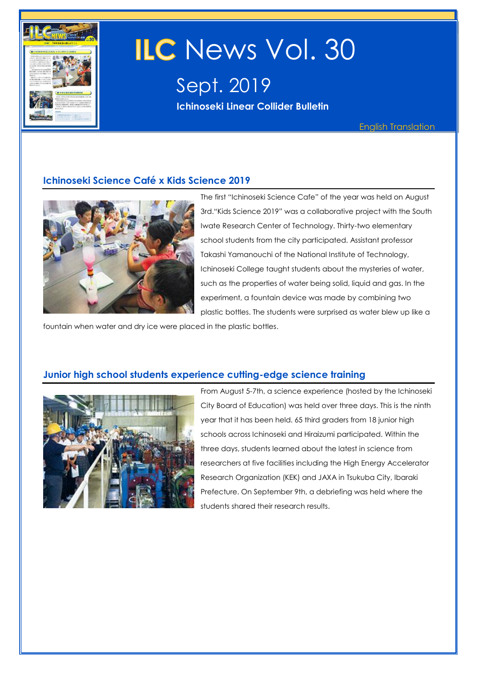

# ILC News Vol. 30

Sept. 2019 **Ichinoseki Linear Collider Bulletin** 

#### **Ichinoseki Science Café x Kids Science 2019**



The first "Ichinoseki Science Cafe" of the year was held on August 3rd."Kids Science 2019" was a collaborative project with the South Iwate Research Center of Technology. Thirty-two elementary school students from the city participated. Assistant professor Takashi Yamanouchi of the National Institute of Technology, Ichinoseki College taught students about the mysteries of water, such as the properties of water being solid, liquid and gas. In the experiment, a fountain device was made by combining two plastic bottles. The students were surprised as water blew up like a

fountain when water and dry ice were placed in the plastic bottles.

#### **Junior high school students experience cutting-edge science training**



From August 5-7th, a science experience (hosted by the Ichinoseki City Board of Education) was held over three days. This is the ninth year that it has been held. 65 third graders from 18 junior high schools across Ichinoseki and Hiraizumi participated. Within the three days, students learned about the latest in science from researchers at five facilities including the High Energy Accelerator Research Organization (KEK) and JAXA in Tsukuba City, Ibaraki Prefecture. On September 9th, a debriefing was held where the students shared their research results.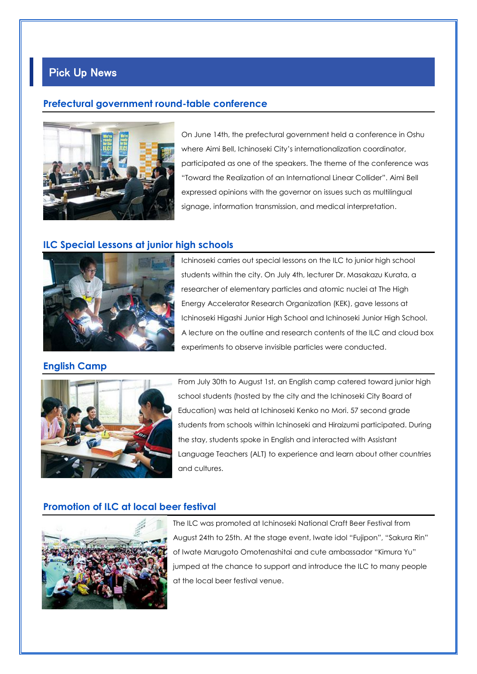## Pick Up News

#### **Prefectural government round-table conference**



On June 14th, the prefectural government held a conference in Oshu where Aimi Bell, Ichinoseki City's internationalization coordinator, participated as one of the speakers. The theme of the conference was "Toward the Realization of an International Linear Collider". Aimi Bell expressed opinions with the governor on issues such as multilingual signage, information transmission, and medical interpretation.

#### **ILC Special Lessons at junior high schools**



Ichinoseki carries out special lessons on the ILC to junior high school students within the city. On July 4th, lecturer Dr. Masakazu Kurata, a researcher of elementary particles and atomic nuclei at The High Energy Accelerator Research Organization (KEK), gave lessons at Ichinoseki Higashi Junior High School and Ichinoseki Junior High School. A lecture on the outline and research contents of the ILC and cloud box experiments to observe invisible particles were conducted.

#### **English Camp**



From July 30th to August 1st, an English camp catered toward junior high school students (hosted by the city and the Ichinoseki City Board of Education) was held at Ichinoseki Kenko no Mori. 57 second grade students from schools within Ichinoseki and Hiraizumi participated. During the stay, students spoke in English and interacted with Assistant Language Teachers (ALT) to experience and learn about other countries and cultures.

#### **Promotion of ILC at local beer festival**



The ILC was promoted at Ichinoseki National Craft Beer Festival from August 24th to 25th. At the stage event, Iwate idol "Fujipon", "Sakura Rin" of Iwate Marugoto Omotenashitai and cute ambassador "Kimura Yu" jumped at the chance to support and introduce the ILC to many people at the local beer festival venue.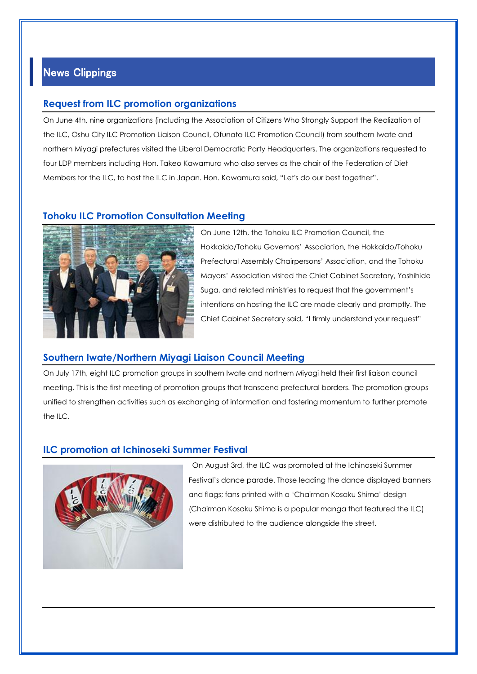### News Clippings

#### **Request from ILC promotion organizations**

On June 4th, nine organizations (including the Association of Citizens Who Strongly Support the Realization of the ILC, Oshu City ILC Promotion Liaison Council, Ofunato ILC Promotion Council) from southern Iwate and northern Miyagi prefectures visited the Liberal Democratic Party Headquarters. The organizations requested to four LDP members including Hon. Takeo Kawamura who also serves as the chair of the Federation of Diet Members for the ILC, to host the ILC in Japan. Hon. Kawamura said, "Let's do our best together".

#### **Tohoku ILC Promotion Consultation Meeting**



On June 12th, the Tohoku ILC Promotion Council, the Hokkaido/Tohoku Governors' Association, the Hokkaido/Tohoku Prefectural Assembly Chairpersons' Association, and the Tohoku Mayors' Association visited the Chief Cabinet Secretary, Yoshihide Suga, and related ministries to request that the government's intentions on hosting the ILC are made clearly and promptly. The Chief Cabinet Secretary said, "I firmly understand your request"

#### **Southern Iwate/Northern Miyagi Liaison Council Meeting**

On July 17th, eight ILC promotion groups in southern Iwate and northern Miyagi held their first liaison council meeting. This is the first meeting of promotion groups that transcend prefectural borders. The promotion groups unified to strengthen activities such as exchanging of information and fostering momentum to further promote the ILC.

#### **ILC promotion at Ichinoseki Summer Festival**



On August 3rd, the ILC was promoted at the Ichinoseki Summer Festival's dance parade. Those leading the dance displayed banners and flags; fans printed with a 'Chairman Kosaku Shima' design (Chairman Kosaku Shima is a popular manga that featured the ILC) were distributed to the audience alongside the street.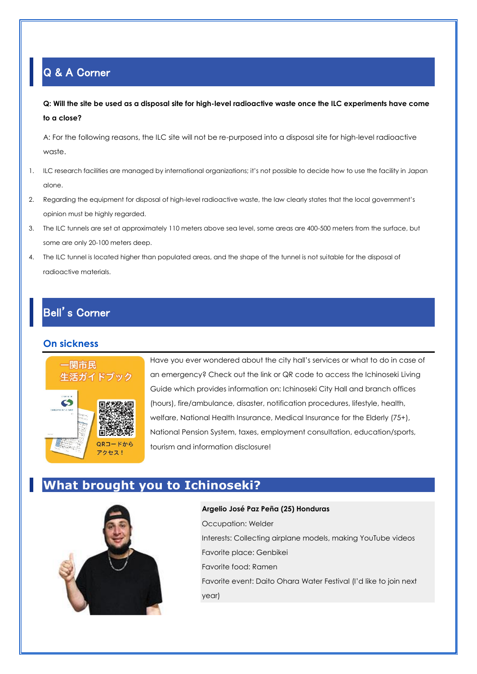## Q & A Corner

**Q: Will the site be used as a disposal site for high-level radioactive waste once the ILC experiments have come to a close?**

A: For the following reasons, the ILC site will not be re-purposed into a disposal site for high-level radioactive waste.

- 1. ILC research facilities are managed by international organizations; it's not possible to decide how to use the facility in Japan alone.
- 2. Regarding the equipment for disposal of high-level radioactive waste, the law clearly states that the local government's opinion must be highly regarded.
- 3. The ILC tunnels are set at approximately 110 meters above sea level, some areas are 400-500 meters from the surface, but some are only 20-100 meters deep.
- 4. The ILC tunnel is located higher than populated areas, and the shape of the tunnel is not suitable for the disposal of radioactive materials.

## Bell's Corner

#### **On sickness**



Have you ever wondered about the city hall's services or what to do in case of an emergency? Check out the link or QR code to access the Ichinoseki Living Guide which provides information on: Ichinoseki City Hall and branch offices (hours), fire/ambulance, disaster, notification procedures, lifestyle, health, welfare, National Health Insurance, Medical Insurance for the Elderly (75+), National Pension System, taxes, employment consultation, education/sports, tourism and information disclosure!

# **What brought you to Ichinoseki?**



**Argelio José Paz Peña (25) Honduras** Occupation: Welder Interests: Collecting airplane models, making YouTube videos Favorite place: Genbikei Favorite food: Ramen Favorite event: Daito Ohara Water Festival (I'd like to join next year)